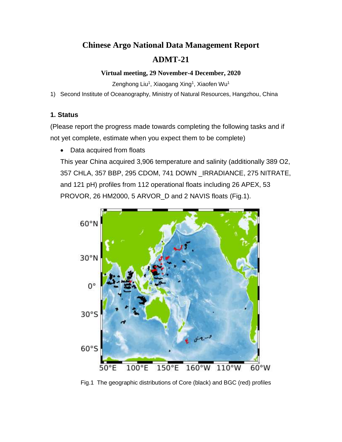# **Chinese Argo National Data Management Report ADMT-21**

#### **Virtual meeting, 29 November-4 December, 2020**

Zenghong Liu<sup>1</sup>, Xiaogang Xing<sup>1</sup>, Xiaofen Wu<sup>1</sup>

1) Second Institute of Oceanography, Ministry of Natural Resources, Hangzhou, China

### **1. Status**

(Please report the progress made towards completing the following tasks and if not yet complete, estimate when you expect them to be complete)

• Data acquired from floats

This year China acquired 3,906 temperature and salinity (additionally 389 O2, 357 CHLA, 357 BBP, 295 CDOM, 741 DOWN \_IRRADIANCE, 275 NITRATE, and 121 pH) profiles from 112 operational floats including 26 APEX, 53 PROVOR, 26 HM2000, 5 ARVOR\_D and 2 NAVIS floats (Fig.1).



Fig.1 The geographic distributions of Core (black) and BGC (red) profiles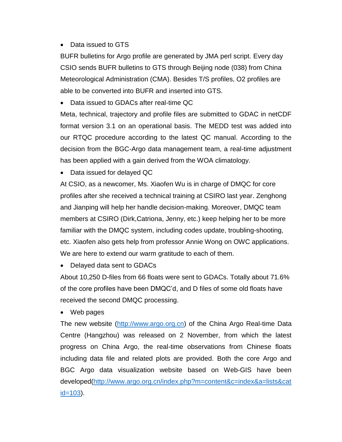### • Data issued to GTS

BUFR bulletins for Argo profile are generated by JMA perl script. Every day CSIO sends BUFR bulletins to GTS through Beijing node (038) from China Meteorological Administration (CMA). Besides T/S profiles, O2 profiles are able to be converted into BUFR and inserted into GTS.

• Data issued to GDACs after real-time QC

Meta, technical, trajectory and profile files are submitted to GDAC in netCDF format version 3.1 on an operational basis. The MEDD test was added into our RTQC procedure according to the latest QC manual. According to the decision from the BGC-Argo data management team, a real-time adjustment has been applied with a gain derived from the WOA climatology.

• Data issued for delayed QC

At CSIO, as a newcomer, Ms. Xiaofen Wu is in charge of DMQC for core profiles after she received a technical training at CSIRO last year. Zenghong and Jianping will help her handle decision-making. Moreover, DMQC team members at CSIRO (Dirk,Catriona, Jenny, etc.) keep helping her to be more familiar with the DMQC system, including codes update, troubling-shooting, etc. Xiaofen also gets help from professor Annie Wong on OWC applications. We are here to extend our warm gratitude to each of them.

• Delayed data sent to GDACs

About 10,250 D-files from 66 floats were sent to GDACs. Totally about 71.6% of the core profiles have been DMQC'd, and D files of some old floats have received the second DMQC processing.

• Web pages

The new website [\(http://www.argo.org.cn\)](http://www.argo.org.cn/) of the China Argo Real-time Data Centre (Hangzhou) was released on 2 November, from which the latest progress on China Argo, the real-time observations from Chinese floats including data file and related plots are provided. Both the core Argo and BGC Argo data visualization website based on Web-GIS have been developed[\(http://www.argo.org.cn/index.php?m=content&c=index&a=lists&cat](http://www.argo.org.cn/index.php?m=content&c=index&a=lists&catid=103) [id=103\)](http://www.argo.org.cn/index.php?m=content&c=index&a=lists&catid=103).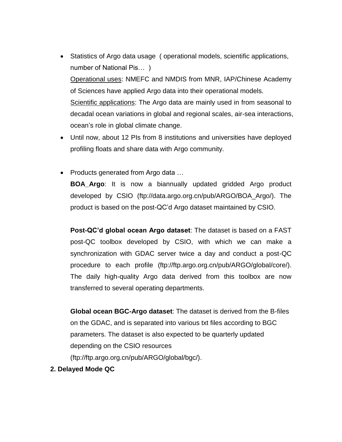- Statistics of Argo data usage ( operational models, scientific applications, number of National Pis… ) Operational uses: NMEFC and NMDIS from MNR, IAP/Chinese Academy of Sciences have applied Argo data into their operational models. Scientific applications: The Argo data are mainly used in from seasonal to decadal ocean variations in global and regional scales, air-sea interactions, ocean's role in global climate change.
- Until now, about 12 PIs from 8 institutions and universities have deployed profiling floats and share data with Argo community.
- Products generated from Argo data ...

**BOA\_Argo**: It is now a biannually updated gridded Argo product developed by CSIO (ftp://data.argo.org.cn/pub/ARGO/BOA\_Argo/). The product is based on the post-QC'd Argo dataset maintained by CSIO.

**Post-QC'd global ocean Argo dataset**: The dataset is based on a FAST post-QC toolbox developed by CSIO, with which we can make a synchronization with GDAC server twice a day and conduct a post-QC procedure to each profile (ftp://ftp.argo.org.cn/pub/ARGO/global/core/). The daily high-quality Argo data derived from this toolbox are now transferred to several operating departments.

**Global ocean BGC-Argo dataset**: The dataset is derived from the B-files on the GDAC, and is separated into various txt files according to BGC parameters. The dataset is also expected to be quarterly updated depending on the CSIO resources (ftp://ftp.argo.org.cn/pub/ARGO/global/bgc/).

**2. Delayed Mode QC**